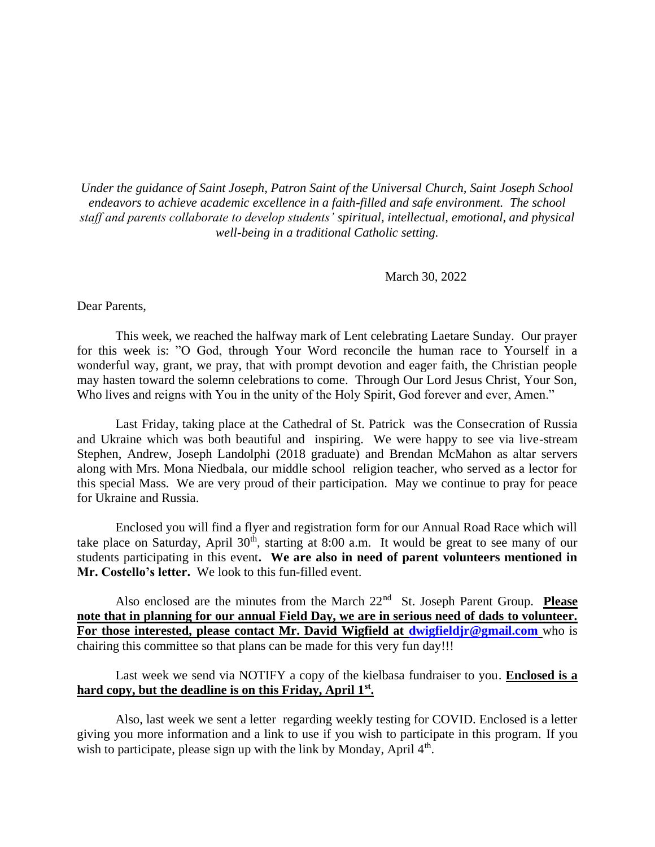*Under the guidance of Saint Joseph, Patron Saint of the Universal Church, Saint Joseph School endeavors to achieve academic excellence in a faith-filled and safe environment. The school staff and parents collaborate to develop students' spiritual, intellectual, emotional, and physical well-being in a traditional Catholic setting.*

## March 30, 2022

Dear Parents,

This week, we reached the halfway mark of Lent celebrating Laetare Sunday. Our prayer for this week is: "O God, through Your Word reconcile the human race to Yourself in a wonderful way, grant, we pray, that with prompt devotion and eager faith, the Christian people may hasten toward the solemn celebrations to come. Through Our Lord Jesus Christ, Your Son, Who lives and reigns with You in the unity of the Holy Spirit, God forever and ever, Amen."

Last Friday, taking place at the Cathedral of St. Patrick was the Consecration of Russia and Ukraine which was both beautiful and inspiring. We were happy to see via live-stream Stephen, Andrew, Joseph Landolphi (2018 graduate) and Brendan McMahon as altar servers along with Mrs. Mona Niedbala, our middle school religion teacher, who served as a lector for this special Mass. We are very proud of their participation. May we continue to pray for peace for Ukraine and Russia.

Enclosed you will find a flyer and registration form for our Annual Road Race which will take place on Saturday, April  $30<sup>th</sup>$ , starting at 8:00 a.m. It would be great to see many of our students participating in this event**. We are also in need of parent volunteers mentioned in Mr. Costello's letter.** We look to this fun-filled event.

Also enclosed are the minutes from the March 22<sup>nd</sup> St. Joseph Parent Group. **Please note that in planning for our annual Field Day, we are in serious need of dads to volunteer. For those interested, please contact Mr. David Wigfield at [dwigfieldjr@gmail.com](mailto:dwigfieldjr@gmail.com)** who is chairing this committee so that plans can be made for this very fun day!!!

Last week we send via NOTIFY a copy of the kielbasa fundraiser to you. **Enclosed is a hard copy, but the deadline is on this Friday, April 1st .** 

Also, last week we sent a letter regarding weekly testing for COVID. Enclosed is a letter giving you more information and a link to use if you wish to participate in this program. If you wish to participate, please sign up with the link by Monday, April  $4<sup>th</sup>$ .